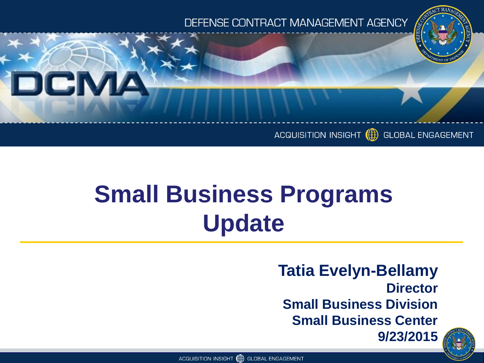

#### ACQUISITION INSIGHT (F) GLOBAL ENGAGEMENT

## **Small Business Programs Update**

DCMA

**Tatia Evelyn-Bellamy Director Small Business Division Small Business Center 9/23/2015**



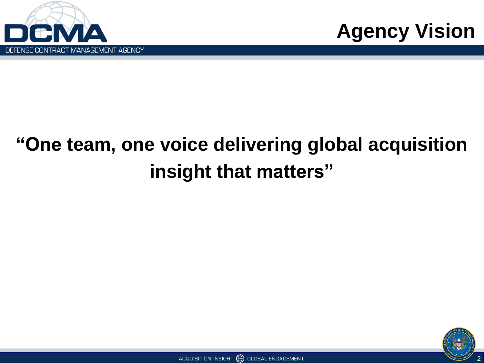



### **"One team, one voice delivering global acquisition insight that matters"**

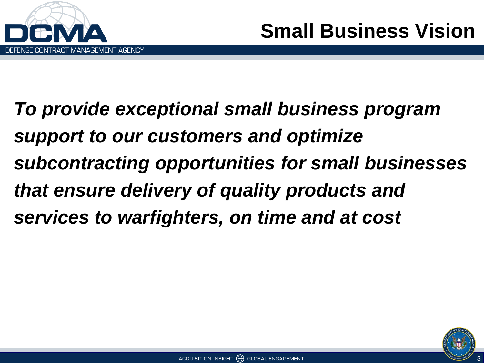

*To provide exceptional small business program support to our customers and optimize subcontracting opportunities for small businesses that ensure delivery of quality products and services to warfighters, on time and at cost*

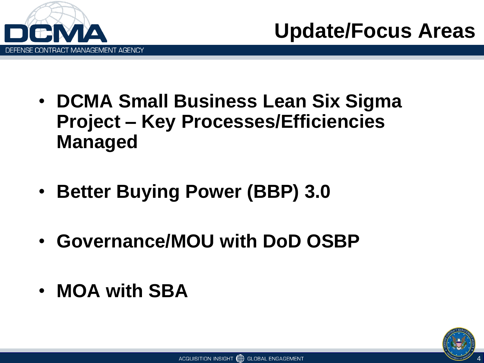



- **DCMA Small Business Lean Six Sigma Project – Key Processes/Efficiencies Managed**
- **Better Buying Power (BBP) 3.0**
- **Governance/MOU with DoD OSBP**
- **MOA with SBA**

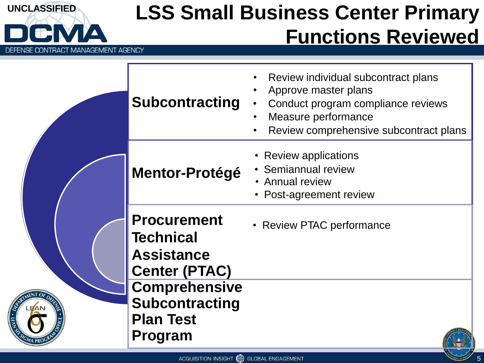

#### **UNCLASSIFIED LSS Small Business Center Primary Functions Reviewed**

• Review individual subcontract plans



| <b>Subcontracting</b>                                                               | Review individual subcontract plans<br>Approve master plans<br>Conduct program compliance reviews<br>Measure performance<br>Review comprehensive subcontract plans |
|-------------------------------------------------------------------------------------|--------------------------------------------------------------------------------------------------------------------------------------------------------------------|
| <b>Mentor-Protégé</b>                                                               | <b>Review applications</b><br>Semiannual review<br>• Annual review<br>Post-agreement review                                                                        |
| <b>Procurement</b><br><b>Technical</b><br><b>Assistance</b><br><b>Center (PTAC)</b> | <b>Review PTAC performance</b>                                                                                                                                     |
| <b>Comprehensive</b><br><b>Subcontracting</b><br><b>Plan Test</b><br>Program        |                                                                                                                                                                    |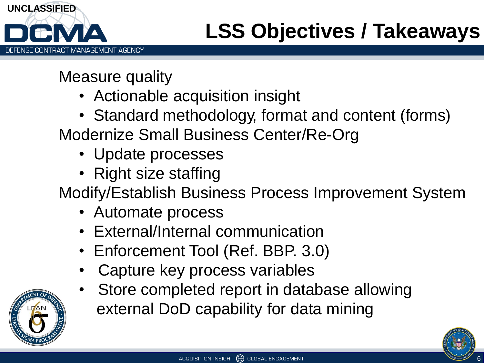

Measure quality

- Actionable acquisition insight
- Standard methodology, format and content (forms) Modernize Small Business Center/Re-Org
	- Update processes
	- Right size staffing

Modify/Establish Business Process Improvement System

- Automate process
- External/Internal communication
- Enforcement Tool (Ref. BBP. 3.0)
- Capture key process variables
- Store completed report in database allowing external DoD capability for data mining

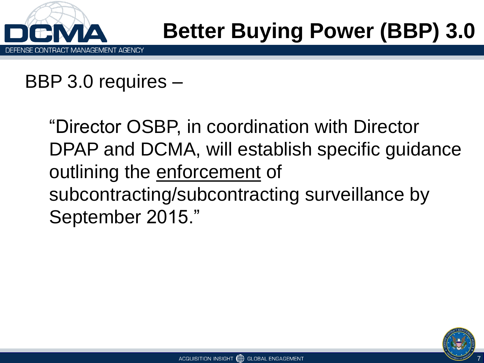

### **Better Buying Power (BBP) 3.0**

BBP 3.0 requires –

"Director OSBP, in coordination with Director DPAP and DCMA, will establish specific guidance outlining the enforcement of subcontracting/subcontracting surveillance by September 2015."

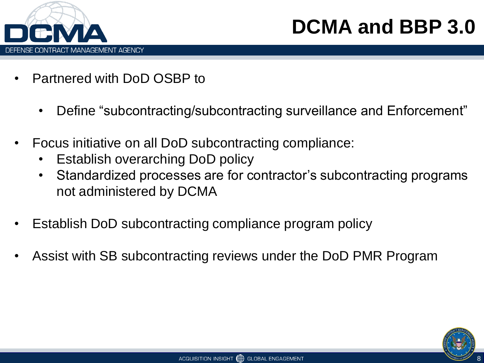

#### **DCMA and BBP 3.0**

- Partnered with DoD OSBP to
	- Define "subcontracting/subcontracting surveillance and Enforcement"
- Focus initiative on all DoD subcontracting compliance:
	- Establish overarching DoD policy
	- Standardized processes are for contractor's subcontracting programs not administered by DCMA
- Establish DoD subcontracting compliance program policy
- Assist with SB subcontracting reviews under the DoD PMR Program

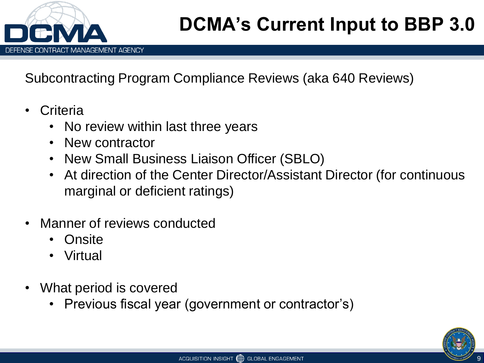

Subcontracting Program Compliance Reviews (aka 640 Reviews)

- **Criteria** 
	- No review within last three years
	- New contractor
	- New Small Business Liaison Officer (SBLO)
	- At direction of the Center Director/Assistant Director (for continuous marginal or deficient ratings)
- Manner of reviews conducted
	- Onsite
	- Virtual
- What period is covered
	- Previous fiscal year (government or contractor's)

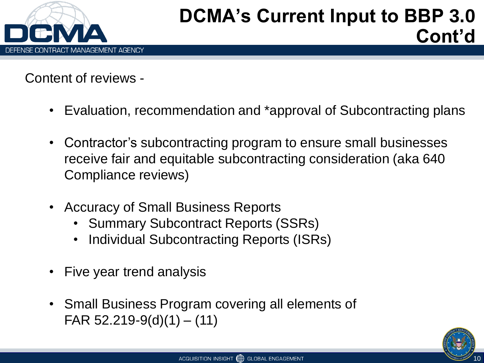

Content of reviews -

- Evaluation, recommendation and \*approval of Subcontracting plans
- Contractor's subcontracting program to ensure small businesses receive fair and equitable subcontracting consideration (aka 640 Compliance reviews)
- Accuracy of Small Business Reports
	- Summary Subcontract Reports (SSRs)
	- Individual Subcontracting Reports (ISRs)
- Five year trend analysis
- Small Business Program covering all elements of FAR  $52.219 - 9(d)(1) - (11)$

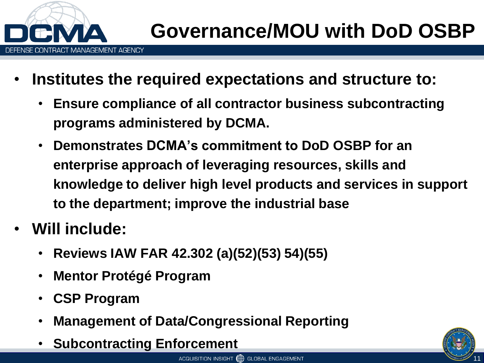

- **Institutes the required expectations and structure to:** 
	- **Ensure compliance of all contractor business subcontracting programs administered by DCMA.**
	- **Demonstrates DCMA's commitment to DoD OSBP for an enterprise approach of leveraging resources, skills and knowledge to deliver high level products and services in support to the department; improve the industrial base**
- **Will include:**
	- **Reviews IAW FAR 42.302 (a)(52)(53) 54)(55)**
	- **Mentor Protégé Program**
	- **CSP Program**
	- **Management of Data/Congressional Reporting**
	- **Subcontracting Enforcement**

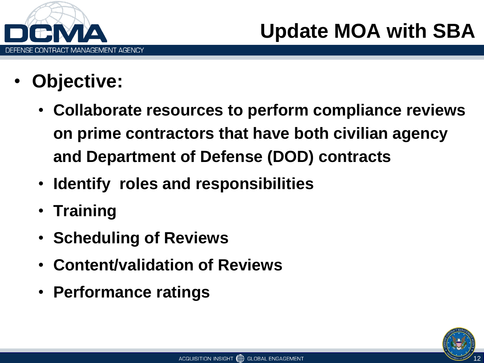

- **Objective:**
	- **Collaborate resources to perform compliance reviews on prime contractors that have both civilian agency and Department of Defense (DOD) contracts**
	- **Identify roles and responsibilities**
	- **Training**
	- **Scheduling of Reviews**
	- **Content/validation of Reviews**
	- **Performance ratings**

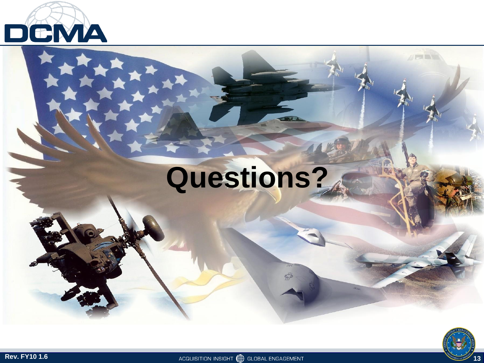

# **Questions?**



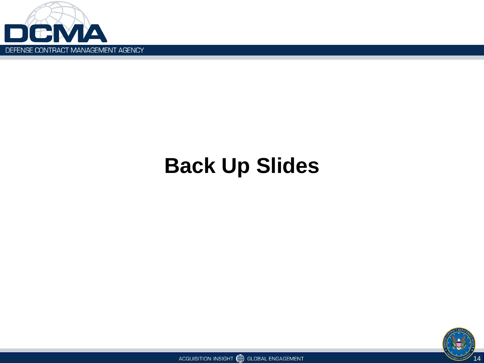

### **Back Up Slides**



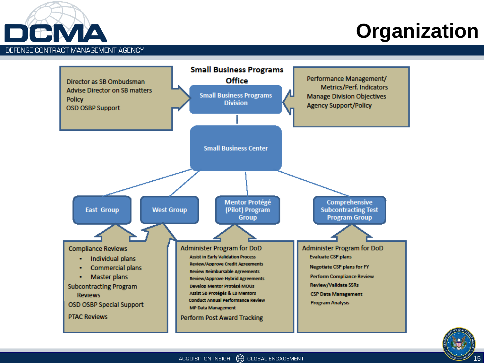

#### **Organization**



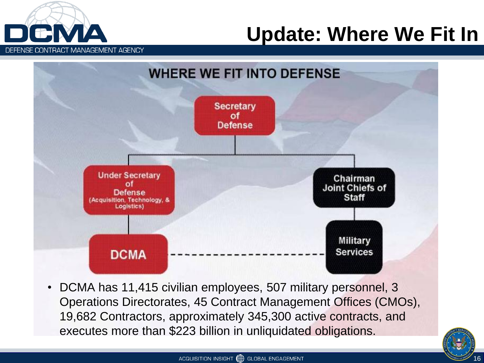

#### **Update: Where We Fit In**



• DCMA has 11,415 civilian employees, 507 military personnel, 3 Operations Directorates, 45 Contract Management Offices (CMOs), 19,682 Contractors, approximately 345,300 active contracts, and executes more than \$223 billion in unliquidated obligations.